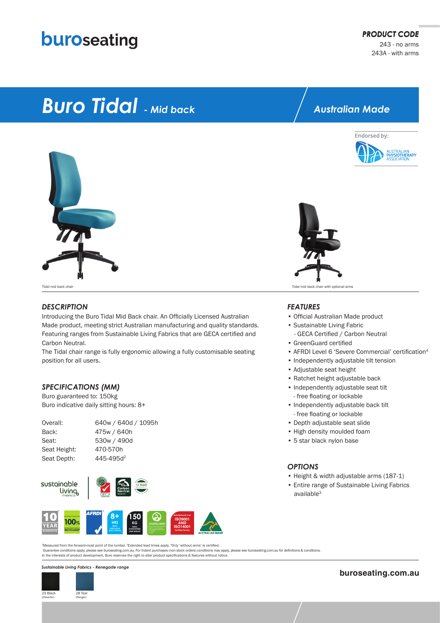## buroseating

# *Buro Tidal - Mid back*



#### *DESCRIPTION*

Introducing the Buro Tidal Mid Back chair. An Officially Licensed Australian Made product, meeting strict Australian manufacturing and quality standards. Featuring ranges from Sustainable Living Fabrics that are GECA certified and Carbon Neutral.

The Tidal chair range is fully ergonomic allowing a fully customisable seating position for all users.

#### *SPECIFICATIONS (MM)*

Buro guaranteed to: 150kg Buro indicative daily sitting hours: 8+

| Overall:     | 640w / 640d / 1095h   |
|--------------|-----------------------|
| Back:        | 475w / 640h           |
| Seat:        | 530w / 490d           |
| Seat Height: | 470-570h              |
| Seat Depth:  | 445-495d <sup>2</sup> |
|              |                       |





*\**Guarantee conditions apply, please see buroseating.com.au. For Indent purchases (non stock orders) conditions may apply, please see buroseating.com.au for definitions & conditions. In the interests of product development, Buro reserves the right to alter product specifications & features without notice. 2Measured from the forward-most point of the lumbar. 3Extended lead times apply. <sup>4</sup>Only 'without arms' is certified.

#### *Sustainable Living Fabrics - Renegade range*



### *Australian Made*





Tidal mid back chair Tidal mid back chair with optional arms

#### *FEATURES*

- Official Australian Made product • Sustainable Living Fabric
- GECA Certified / Carbon Neutral
- GreenGuard certified
- AFRDI Level 6 'Severe Commercial' certification<sup>4</sup>
- Independently adjustable tilt tension
- Adjustable seat height
- Ratchet height adjustable back
- Independently adjustable seat tilt - free floating or lockable
- Independently adjustable back tilt - free floating or lockable
- Depth adjustable seat slide
- High density moulded foam
- 5 star black nylon base

#### *OPTIONS*

- Height & width adjustable arms (187-1)
- Entire range of Sustainable Living Fabrics available<sup>3</sup>

**buroseating.com.au**